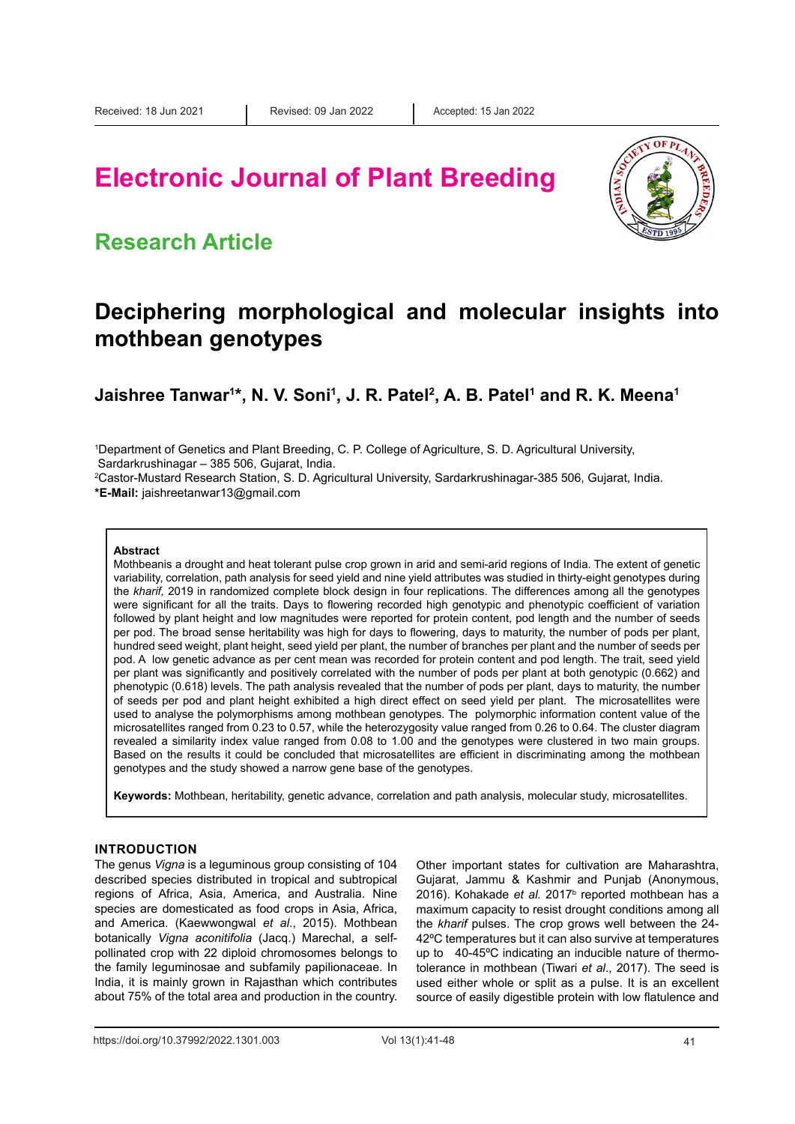# **Electronic Journal of Plant Breeding**



### **Research Article**

### **Deciphering morphological and molecular insights into mothbean genotypes**

**Jaishree Tanwar1 \*, N. V. Soni1 , J. R. Patel2 , A. B. Patel1 and R. K. Meena1**

1 Department of Genetics and Plant Breeding, C. P. College of Agriculture, S. D. Agricultural University,

Sardarkrushinagar – 385 506, Gujarat, India.

2 Castor-Mustard Research Station, S. D. Agricultural University, Sardarkrushinagar-385 506, Gujarat, India. **\*E-Mail:** jaishreetanwar13@gmail.com

#### **Abstract**

Mothbeanis a drought and heat tolerant pulse crop grown in arid and semi-arid regions of India. The extent of genetic variability, correlation, path analysis for seed yield and nine yield attributes was studied in thirty-eight genotypes during the *kharif,* 2019 in randomized complete block design in four replications. The differences among all the genotypes were significant for all the traits. Days to flowering recorded high genotypic and phenotypic coefficient of variation followed by plant height and low magnitudes were reported for protein content, pod length and the number of seeds per pod. The broad sense heritability was high for days to flowering, days to maturity, the number of pods per plant, hundred seed weight, plant height, seed yield per plant, the number of branches per plant and the number of seeds per pod. A low genetic advance as per cent mean was recorded for protein content and pod length. The trait, seed yield per plant was significantly and positively correlated with the number of pods per plant at both genotypic (0.662) and phenotypic (0.618) levels. The path analysis revealed that the number of pods per plant, days to maturity, the number of seeds per pod and plant height exhibited a high direct effect on seed yield per plant. The microsatellites were used to analyse the polymorphisms among mothbean genotypes. The polymorphic information content value of the microsatellites ranged from 0.23 to 0.57, while the heterozygosity value ranged from 0.26 to 0.64. The cluster diagram revealed a similarity index value ranged from 0.08 to 1.00 and the genotypes were clustered in two main groups. Based on the results it could be concluded that microsatellites are efficient in discriminating among the mothbean genotypes and the study showed a narrow gene base of the genotypes.

**Keywords:** Mothbean, heritability, genetic advance, correlation and path analysis, molecular study, microsatellites.

#### **INTRODUCTION**

The genus *Vigna* is a leguminous group consisting of 104 described species distributed in tropical and subtropical regions of Africa, Asia, America, and Australia. Nine species are domesticated as food crops in Asia, Africa, and America. (Kaewwongwal *et al*., 2015). Mothbean botanically *Vigna aconitifolia* (Jacq.) Marechal, a selfpollinated crop with 22 diploid chromosomes belongs to the family leguminosae and subfamily papilionaceae. In India, it is mainly grown in Rajasthan which contributes about 75% of the total area and production in the country. Other important states for cultivation are Maharashtra, Gujarat, Jammu & Kashmir and Punjab (Anonymous, 2016). Kohakade *et al.* 2017<sup>b</sup> reported mothbean has a maximum capacity to resist drought conditions among all the *kharif* pulses. The crop grows well between the 24- 42ºC temperatures but it can also survive at temperatures up to 40-45ºC indicating an inducible nature of thermotolerance in mothbean (Tiwari *et al*., 2017). The seed is used either whole or split as a pulse. It is an excellent source of easily digestible protein with low flatulence and

https://doi.org/10.37992/2022.1301.003 Vol 13(1):41-48 41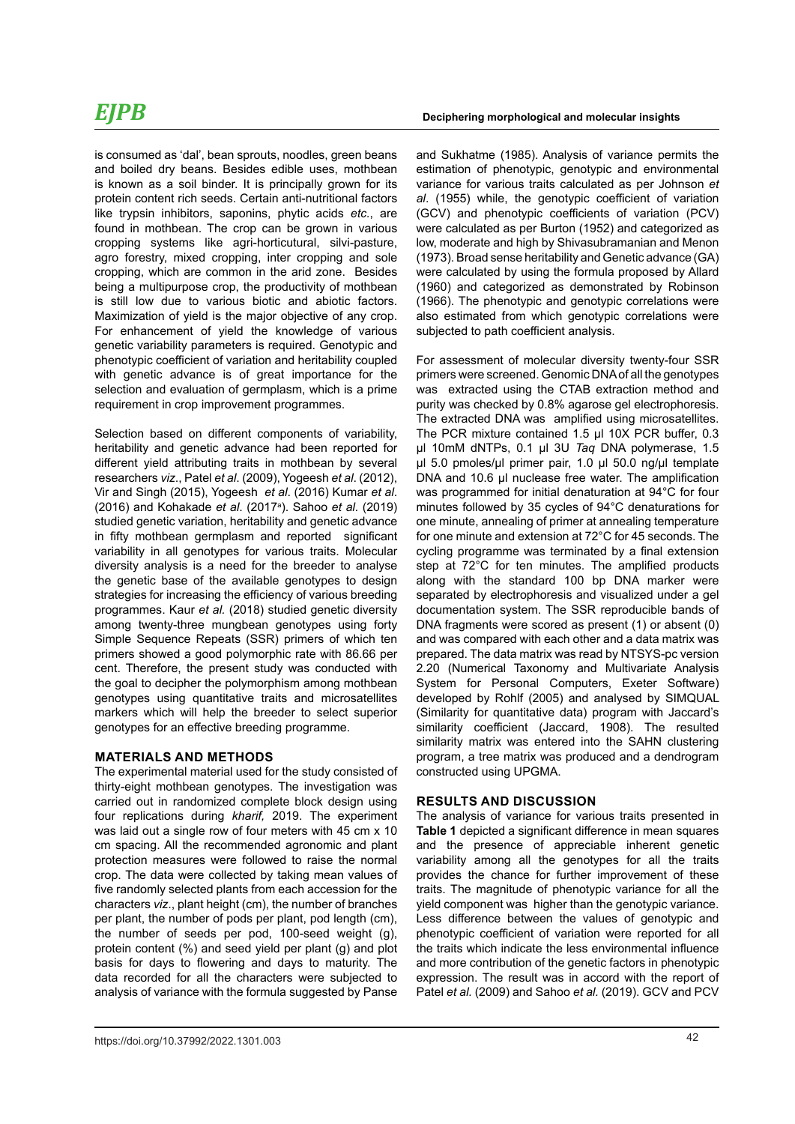## *EJPB*

is consumed as 'dal', bean sprouts, noodles, green beans and boiled dry beans. Besides edible uses, mothbean is known as a soil binder. It is principally grown for its protein content rich seeds. Certain anti-nutritional factors like trypsin inhibitors, saponins, phytic acids *etc.*, are found in mothbean. The crop can be grown in various cropping systems like agri-horticutural, silvi-pasture, agro forestry, mixed cropping, inter cropping and sole cropping, which are common in the arid zone. Besides being a multipurpose crop, the productivity of mothbean is still low due to various biotic and abiotic factors. Maximization of yield is the major objective of any crop. For enhancement of yield the knowledge of various genetic variability parameters is required. Genotypic and phenotypic coefficient of variation and heritability coupled with genetic advance is of great importance for the selection and evaluation of germplasm, which is a prime requirement in crop improvement programmes.

Selection based on different components of variability, heritability and genetic advance had been reported for different yield attributing traits in mothbean by several researchers *viz*., Patel *et al*. (2009), Yogeesh *et al*. (2012), Vir and Singh (2015), Yogeesh *et al*. (2016) Kumar *et al*. (2016) and Kohakade *et al*. (2017<sup>a</sup> ). Sahoo *et al.* (2019) studied genetic variation, heritability and genetic advance in fifty mothbean germplasm and reported significant variability in all genotypes for various traits. Molecular diversity analysis is a need for the breeder to analyse the genetic base of the available genotypes to design strategies for increasing the efficiency of various breeding programmes. Kaur *et al.* (2018) studied genetic diversity among twenty-three mungbean genotypes using forty Simple Sequence Repeats (SSR) primers of which ten primers showed a good polymorphic rate with 86.66 per cent. Therefore, the present study was conducted with the goal to decipher the polymorphism among mothbean genotypes using quantitative traits and microsatellites markers which will help the breeder to select superior genotypes for an effective breeding programme.

#### **MATERIALS AND METHODS**

The experimental material used for the study consisted of thirty-eight mothbean genotypes. The investigation was carried out in randomized complete block design using four replications during *kharif,* 2019. The experiment was laid out a single row of four meters with 45 cm x 10 cm spacing. All the recommended agronomic and plant protection measures were followed to raise the normal crop. The data were collected by taking mean values of five randomly selected plants from each accession for the characters *viz*., plant height (cm), the number of branches per plant, the number of pods per plant, pod length (cm), the number of seeds per pod, 100-seed weight (g), protein content (%) and seed yield per plant (g) and plot basis for days to flowering and days to maturity. The data recorded for all the characters were subjected to analysis of variance with the formula suggested by Panse

and Sukhatme (1985). Analysis of variance permits the estimation of phenotypic, genotypic and environmental variance for various traits calculated as per Johnson *et al*. (1955) while, the genotypic coefficient of variation (GCV) and phenotypic coefficients of variation (PCV) were calculated as per Burton (1952) and categorized as low, moderate and high by Shivasubramanian and Menon (1973). Broad sense heritability and Genetic advance (GA) were calculated by using the formula proposed by Allard (1960) and categorized as demonstrated by Robinson (1966). The phenotypic and genotypic correlations were also estimated from which genotypic correlations were subjected to path coefficient analysis.

For assessment of molecular diversity twenty-four SSR primers were screened. Genomic DNA of all the genotypes was extracted using the CTAB extraction method and purity was checked by 0.8% agarose gel electrophoresis. The extracted DNA was amplified using microsatellites. The PCR mixture contained 1.5 μl 10X PCR buffer, 0.3 μl 10mM dNTPs, 0.1 μl 3U *Taq* DNA polymerase, 1.5 μl 5.0 pmoles/µl primer pair, 1.0 μl 50.0 ng/µl template DNA and 10.6 μl nuclease free water. The amplification was programmed for initial denaturation at 94°C for four minutes followed by 35 cycles of 94°C denaturations for one minute, annealing of primer at annealing temperature for one minute and extension at 72°C for 45 seconds. The cycling programme was terminated by a final extension step at 72°C for ten minutes. The amplified products along with the standard 100 bp DNA marker were separated by electrophoresis and visualized under a gel documentation system. The SSR reproducible bands of DNA fragments were scored as present (1) or absent (0) and was compared with each other and a data matrix was prepared. The data matrix was read by NTSYS-pc version 2.20 (Numerical Taxonomy and Multivariate Analysis System for Personal Computers, Exeter Software) developed by Rohlf (2005) and analysed by SIMQUAL (Similarity for quantitative data) program with Jaccard's similarity coefficient (Jaccard, 1908). The resulted similarity matrix was entered into the SAHN clustering program, a tree matrix was produced and a dendrogram constructed using UPGMA.

#### **RESULTS AND DISCUSSION**

The analysis of variance for various traits presented in **Table 1** depicted a significant difference in mean squares and the presence of appreciable inherent genetic variability among all the genotypes for all the traits provides the chance for further improvement of these traits. The magnitude of phenotypic variance for all the yield component was higher than the genotypic variance. Less difference between the values of genotypic and phenotypic coefficient of variation were reported for all the traits which indicate the less environmental influence and more contribution of the genetic factors in phenotypic expression. The result was in accord with the report of Patel *et al.* (2009) and Sahoo *et al.* (2019). GCV and PCV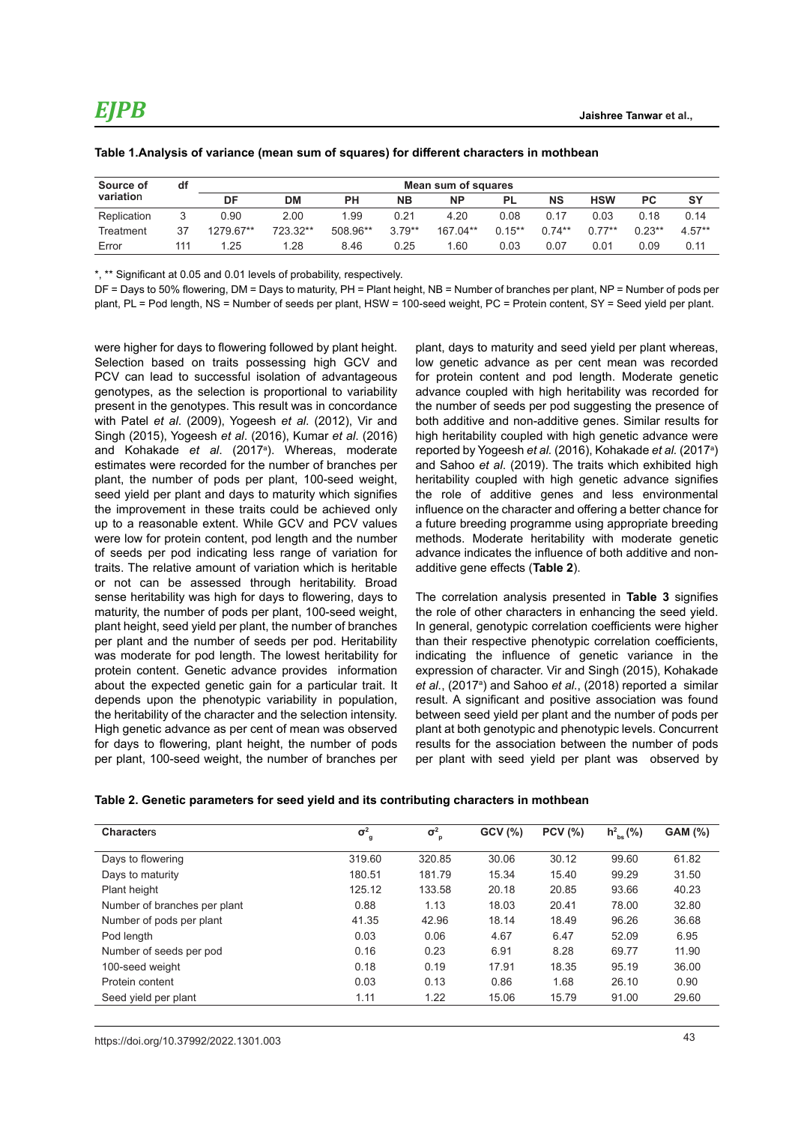| Source of   | df  |           | Mean sum of squares |           |          |           |           |           |            |          |          |  |
|-------------|-----|-----------|---------------------|-----------|----------|-----------|-----------|-----------|------------|----------|----------|--|
| variation   |     | DF        | DM                  | <b>PH</b> | NΒ       | <b>NP</b> | <b>PL</b> | <b>NS</b> | <b>HSW</b> | РC       | SY       |  |
| Replication |     | 0.90      | 2.00                | 1.99      | 0.21     | 4.20      | 0.08      | 0.17      | 0.03       | 0.18     | 0.14     |  |
| Treatment   | 37  | 1279.67** | 723.32**            | 508.96**  | $3.79**$ | 167.04**  | $0.15**$  | $0.74**$  | $0.77**$   | $0.23**$ | $4.57**$ |  |
| Error       | 111 | 1.25      | 1.28                | 8.46      | 0.25     | 1.60      | 0.03      | 0.07      | 0.01       | 0.09     | 0.11     |  |

|  | Table 1.Analysis of variance (mean sum of squares) for different characters in mothbean |  |  |  |  |  |
|--|-----------------------------------------------------------------------------------------|--|--|--|--|--|
|--|-----------------------------------------------------------------------------------------|--|--|--|--|--|

\*, \*\* Significant at 0.05 and 0.01 levels of probability, respectively.

DF = Days to 50% flowering, DM = Days to maturity, PH = Plant height, NB = Number of branches per plant, NP = Number of pods per plant, PL = Pod length, NS = Number of seeds per plant, HSW = 100-seed weight, PC = Protein content, SY = Seed yield per plant.

were higher for days to flowering followed by plant height. Selection based on traits possessing high GCV and PCV can lead to successful isolation of advantageous genotypes, as the selection is proportional to variability present in the genotypes. This result was in concordance with Patel *et al*. (2009), Yogeesh *et al*. (2012), Vir and Singh (2015), Yogeesh *et al*. (2016), Kumar *et al*. (2016) and Kohakade *et al*. (2017<sup>a</sup> ). Whereas, moderate estimates were recorded for the number of branches per plant, the number of pods per plant, 100-seed weight, seed yield per plant and days to maturity which signifies the improvement in these traits could be achieved only up to a reasonable extent. While GCV and PCV values were low for protein content, pod length and the number of seeds per pod indicating less range of variation for traits. The relative amount of variation which is heritable or not can be assessed through heritability. Broad sense heritability was high for days to flowering, days to maturity, the number of pods per plant, 100-seed weight, plant height, seed yield per plant, the number of branches per plant and the number of seeds per pod. Heritability was moderate for pod length. The lowest heritability for protein content. Genetic advance provides information about the expected genetic gain for a particular trait. It depends upon the phenotypic variability in population, the heritability of the character and the selection intensity. High genetic advance as per cent of mean was observed for days to flowering, plant height, the number of pods per plant, 100-seed weight, the number of branches per

plant, days to maturity and seed yield per plant whereas, low genetic advance as per cent mean was recorded for protein content and pod length. Moderate genetic advance coupled with high heritability was recorded for the number of seeds per pod suggesting the presence of both additive and non-additive genes. Similar results for high heritability coupled with high genetic advance were reported by Yogeesh *et al.* (2016), Kohakade *et al.* (2017<sup>a</sup> ) and Sahoo *et al*. (2019). The traits which exhibited high heritability coupled with high genetic advance signifies the role of additive genes and less environmental influence on the character and offering a better chance for a future breeding programme using appropriate breeding methods. Moderate heritability with moderate genetic advance indicates the influence of both additive and nonadditive gene effects (**Table 2**).

The correlation analysis presented in **Table 3** signifies the role of other characters in enhancing the seed yield. In general, genotypic correlation coefficients were higher than their respective phenotypic correlation coefficients, indicating the influence of genetic variance in the expression of character. Vir and Singh (2015), Kohakade et al., (2017<sup>a</sup>) and Sahoo et al., (2018) reported a similar result. A significant and positive association was found between seed yield per plant and the number of pods per plant at both genotypic and phenotypic levels. Concurrent results for the association between the number of pods per plant with seed yield per plant was observed by

| <b>Characters</b>            | $\sigma^2$<br>g | $\sigma^2$<br>p | GCV(%) | <b>PCV</b> (%) | $h_{\rm bs}^2$ (%) | <b>GAM (%)</b> |
|------------------------------|-----------------|-----------------|--------|----------------|--------------------|----------------|
| Days to flowering            | 319.60          | 320.85          | 30.06  | 30.12          | 99.60              | 61.82          |
| Days to maturity             | 180.51          | 181.79          | 15.34  | 15.40          | 99.29              | 31.50          |
| Plant height                 | 125.12          | 133.58          | 20.18  | 20.85          | 93.66              | 40.23          |
| Number of branches per plant | 0.88            | 1.13            | 18.03  | 20.41          | 78.00              | 32.80          |
| Number of pods per plant     | 41.35           | 42.96           | 18.14  | 18.49          | 96.26              | 36.68          |
| Pod length                   | 0.03            | 0.06            | 4.67   | 6.47           | 52.09              | 6.95           |
| Number of seeds per pod      | 0.16            | 0.23            | 6.91   | 8.28           | 69.77              | 11.90          |
| 100-seed weight              | 0.18            | 0.19            | 17.91  | 18.35          | 95.19              | 36.00          |
| Protein content              | 0.03            | 0.13            | 0.86   | 1.68           | 26.10              | 0.90           |
| Seed yield per plant         | 1.11            | 1.22            | 15.06  | 15.79          | 91.00              | 29.60          |

43 https://doi.org/10.37992/2022.1301.003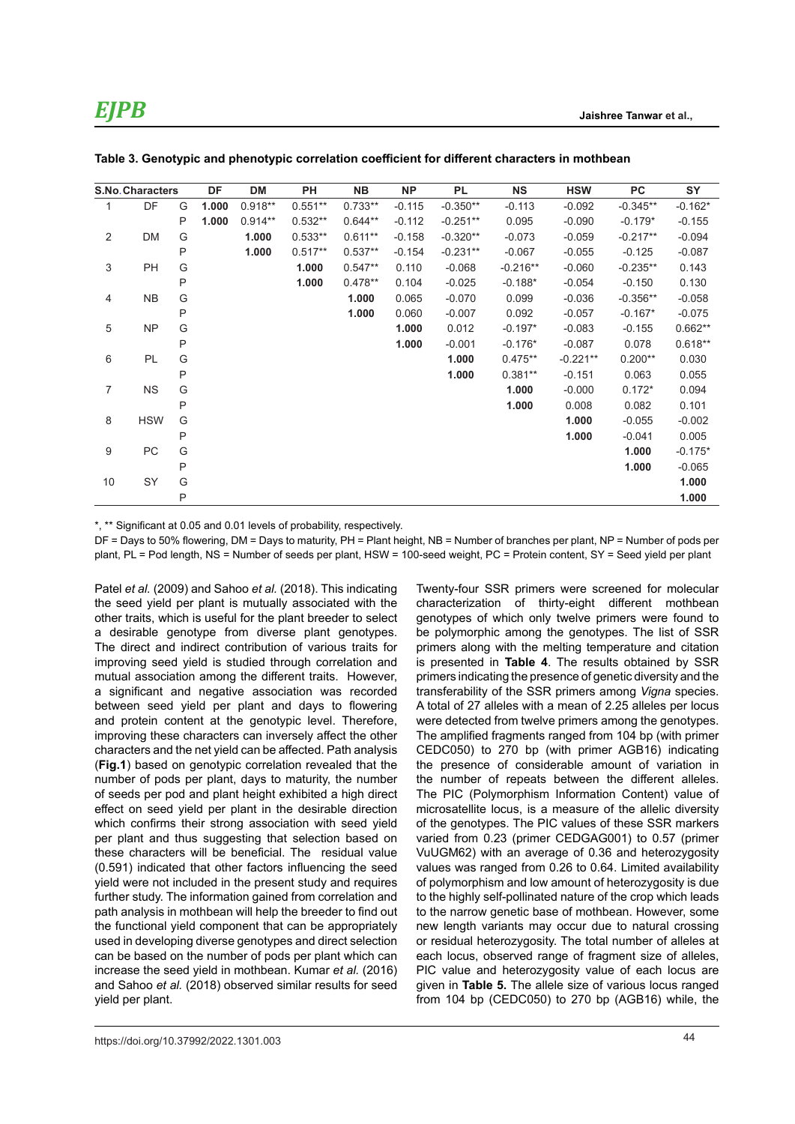|                | <b>S.No. Characters</b> |   | DF    | <b>DM</b> | PH        | <b>NB</b> | <b>NP</b> | PL         | <b>NS</b>  | <b>HSW</b> | <b>PC</b>  | SY        |
|----------------|-------------------------|---|-------|-----------|-----------|-----------|-----------|------------|------------|------------|------------|-----------|
| 1              | DF                      | G | 1.000 | $0.918**$ | $0.551**$ | $0.733**$ | $-0.115$  | $-0.350**$ | $-0.113$   | $-0.092$   | $-0.345**$ | $-0.162*$ |
|                |                         | P | 1.000 | $0.914**$ | $0.532**$ | $0.644**$ | $-0.112$  | $-0.251**$ | 0.095      | $-0.090$   | $-0.179*$  | $-0.155$  |
| 2              | DM                      | G |       | 1.000     | $0.533**$ | $0.611**$ | $-0.158$  | $-0.320**$ | $-0.073$   | $-0.059$   | $-0.217**$ | $-0.094$  |
|                |                         | P |       | 1.000     | $0.517**$ | $0.537**$ | $-0.154$  | $-0.231**$ | $-0.067$   | $-0.055$   | $-0.125$   | $-0.087$  |
| 3              | PH                      | G |       |           | 1.000     | $0.547**$ | 0.110     | $-0.068$   | $-0.216**$ | $-0.060$   | $-0.235**$ | 0.143     |
|                |                         | P |       |           | 1.000     | $0.478**$ | 0.104     | $-0.025$   | $-0.188*$  | $-0.054$   | $-0.150$   | 0.130     |
| 4              | <b>NB</b>               | G |       |           |           | 1.000     | 0.065     | $-0.070$   | 0.099      | $-0.036$   | $-0.356**$ | $-0.058$  |
|                |                         | P |       |           |           | 1.000     | 0.060     | $-0.007$   | 0.092      | $-0.057$   | $-0.167*$  | $-0.075$  |
| 5              | <b>NP</b>               | G |       |           |           |           | 1.000     | 0.012      | $-0.197*$  | $-0.083$   | $-0.155$   | $0.662**$ |
|                |                         | P |       |           |           |           | 1.000     | $-0.001$   | $-0.176*$  | $-0.087$   | 0.078      | $0.618**$ |
| 6              | PL                      | G |       |           |           |           |           | 1.000      | $0.475**$  | $-0.221**$ | $0.200**$  | 0.030     |
|                |                         | P |       |           |           |           |           | 1.000      | $0.381**$  | $-0.151$   | 0.063      | 0.055     |
| $\overline{7}$ | <b>NS</b>               | G |       |           |           |           |           |            | 1.000      | $-0.000$   | $0.172*$   | 0.094     |
|                |                         | P |       |           |           |           |           |            | 1.000      | 0.008      | 0.082      | 0.101     |
| 8              | <b>HSW</b>              | G |       |           |           |           |           |            |            | 1.000      | $-0.055$   | $-0.002$  |
|                |                         | P |       |           |           |           |           |            |            | 1.000      | $-0.041$   | 0.005     |
| 9              | PC                      | G |       |           |           |           |           |            |            |            | 1.000      | $-0.175*$ |
|                |                         | P |       |           |           |           |           |            |            |            | 1.000      | $-0.065$  |
| 10             | SY                      | G |       |           |           |           |           |            |            |            |            | 1.000     |
|                |                         | P |       |           |           |           |           |            |            |            |            | 1.000     |

**Table 3. Genotypic and phenotypic correlation coefficient for different characters in mothbean**

\*, \*\* Significant at 0.05 and 0.01 levels of probability, respectively.

DF = Days to 50% flowering, DM = Days to maturity, PH = Plant height, NB = Number of branches per plant, NP = Number of pods per plant, PL = Pod length, NS = Number of seeds per plant, HSW = 100-seed weight, PC = Protein content, SY = Seed yield per plant

Patel *et al.* (2009) and Sahoo *et al.* (2018). This indicating the seed yield per plant is mutually associated with the other traits, which is useful for the plant breeder to select a desirable genotype from diverse plant genotypes. The direct and indirect contribution of various traits for improving seed yield is studied through correlation and mutual association among the different traits. However, a significant and negative association was recorded between seed yield per plant and days to flowering and protein content at the genotypic level. Therefore, improving these characters can inversely affect the other characters and the net yield can be affected. Path analysis (**Fig.1**) based on genotypic correlation revealed that the number of pods per plant, days to maturity, the number of seeds per pod and plant height exhibited a high direct effect on seed yield per plant in the desirable direction which confirms their strong association with seed yield per plant and thus suggesting that selection based on these characters will be beneficial. The residual value (0.591) indicated that other factors influencing the seed yield were not included in the present study and requires further study. The information gained from correlation and path analysis in mothbean will help the breeder to find out the functional yield component that can be appropriately used in developing diverse genotypes and direct selection can be based on the number of pods per plant which can increase the seed yield in mothbean. Kumar *et al.* (2016) and Sahoo *et al.* (2018) observed similar results for seed yield per plant.

Twenty-four SSR primers were screened for molecular characterization of thirty-eight different mothbean genotypes of which only twelve primers were found to be polymorphic among the genotypes. The list of SSR primers along with the melting temperature and citation is presented in **Table 4**. The results obtained by SSR primers indicating the presence of genetic diversity and the transferability of the SSR primers among *Vigna* species. A total of 27 alleles with a mean of 2.25 alleles per locus were detected from twelve primers among the genotypes. The amplified fragments ranged from 104 bp (with primer CEDC050) to 270 bp (with primer AGB16) indicating the presence of considerable amount of variation in the number of repeats between the different alleles. The PIC (Polymorphism Information Content) value of microsatellite locus, is a measure of the allelic diversity of the genotypes. The PIC values of these SSR markers varied from 0.23 (primer CEDGAG001) to 0.57 (primer VuUGM62) with an average of 0.36 and heterozygosity values was ranged from 0.26 to 0.64. Limited availability of polymorphism and low amount of heterozygosity is due to the highly self-pollinated nature of the crop which leads to the narrow genetic base of mothbean. However, some new length variants may occur due to natural crossing or residual heterozygosity. The total number of alleles at each locus, observed range of fragment size of alleles, PIC value and heterozygosity value of each locus are given in **Table 5.** The allele size of various locus ranged from 104 bp (CEDC050) to 270 bp (AGB16) while, the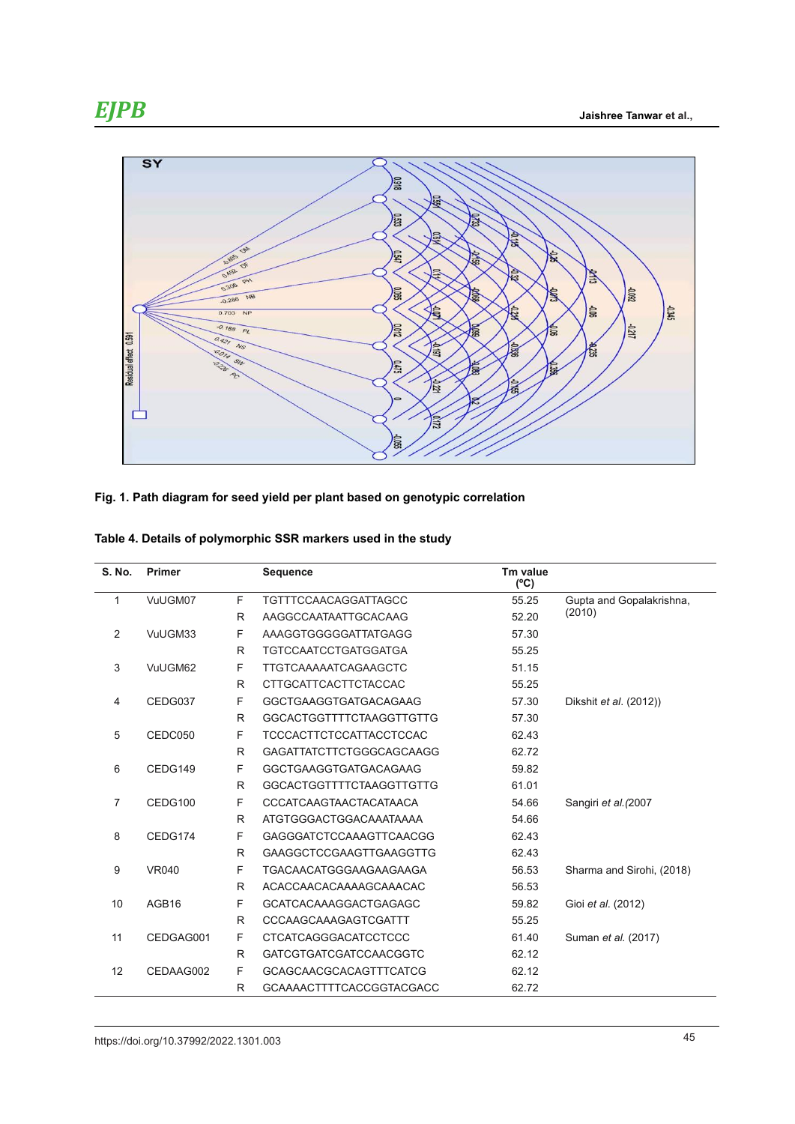

#### **Fig. 1. Path diagram for seed yield per plant based on genotypic correlation**

|  |  | Table 4. Details of polymorphic SSR markers used in the study |  |  |  |  |
|--|--|---------------------------------------------------------------|--|--|--|--|
|--|--|---------------------------------------------------------------|--|--|--|--|

| S. No.         | <b>Primer</b> |   | <b>Sequence</b>                 | Tm value<br>$(^{\circ}C)$ |                               |
|----------------|---------------|---|---------------------------------|---------------------------|-------------------------------|
| 1              | VuUGM07       | F | <b>TGTTTCCAACAGGATTAGCC</b>     | 55.25                     | Gupta and Gopalakrishna,      |
|                |               | R | AAGGCCAATAATTGCACAAG            | 52.20                     | (2010)                        |
| 2              | VuUGM33       | F | AAAGGTGGGGGATTATGAGG            | 57.30                     |                               |
|                |               | R | <b>TGTCCAATCCTGATGGATGA</b>     | 55.25                     |                               |
| 3              | VuUGM62       | F | <b>TTGTCAAAAATCAGAAGCTC</b>     | 51.15                     |                               |
|                |               | R | <b>CTTGCATTCACTTCTACCAC</b>     | 55.25                     |                               |
| 4              | CEDG037       | F | <b>GGCTGAAGGTGATGACAGAAG</b>    | 57.30                     | Dikshit <i>et al.</i> (2012)) |
|                |               | R | <b>GGCACTGGTTTTCTAAGGTTGTTG</b> | 57.30                     |                               |
| 5              | CEDC050       | F | <b>TCCCACTTCTCCATTACCTCCAC</b>  | 62.43                     |                               |
|                |               | R | <b>GAGATTATCTTCTGGGCAGCAAGG</b> | 62.72                     |                               |
| 6              | CEDG149       | F | <b>GGCTGAAGGTGATGACAGAAG</b>    | 59.82                     |                               |
|                |               | R | <b>GGCACTGGTTTTCTAAGGTTGTTG</b> | 61.01                     |                               |
| $\overline{7}$ | CEDG100       | F | <b>CCCATCAAGTAACTACATAACA</b>   | 54.66                     | Sangiri et al. (2007          |
|                |               | R | ATGTGGGACTGGACAAATAAAA          | 54.66                     |                               |
| 8              | CEDG174       | F | <b>GAGGGATCTCCAAAGTTCAACGG</b>  | 62.43                     |                               |
|                |               | R | <b>GAAGGCTCCGAAGTTGAAGGTTG</b>  | 62.43                     |                               |
| 9              | <b>VR040</b>  | F | <b>TGACAACATGGGAAGAAGAAGA</b>   | 56.53                     | Sharma and Sirohi, (2018)     |
|                |               | R | ACACCAACACAAAAGCAAACAC          | 56.53                     |                               |
| 10             | AGB16         | F | <b>GCATCACAAAGGACTGAGAGC</b>    | 59.82                     | Gioi et al. (2012)            |
|                |               | R | CCCAAGCAAAGAGTCGATTT            | 55.25                     |                               |
| 11             | CEDGAG001     | F | <b>CTCATCAGGGACATCCTCCC</b>     | 61.40                     | Suman et al. (2017)           |
|                |               | R | <b>GATCGTGATCGATCCAACGGTC</b>   | 62.12                     |                               |
| 12             | CEDAAG002     | F | <b>GCAGCAACGCACAGTTTCATCG</b>   | 62.12                     |                               |
|                |               | R | <b>GCAAAACTTTTCACCGGTACGACC</b> | 62.72                     |                               |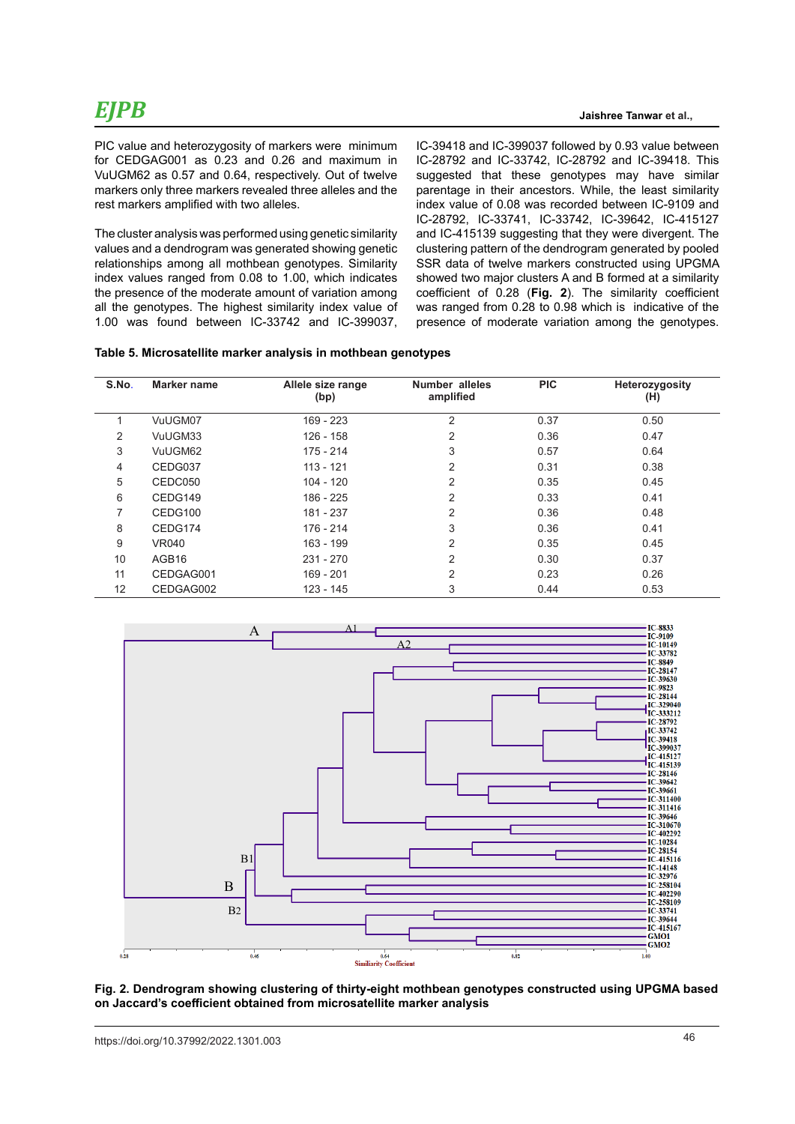# *EJPB*

PIC value and heterozygosity of markers were minimum for CEDGAG001 as 0.23 and 0.26 and maximum in VuUGM62 as 0.57 and 0.64, respectively. Out of twelve markers only three markers revealed three alleles and the rest markers amplified with two alleles.

The cluster analysis was performed using genetic similarity values and a dendrogram was generated showing genetic relationships among all mothbean genotypes. Similarity index values ranged from 0.08 to 1.00, which indicates the presence of the moderate amount of variation among all the genotypes. The highest similarity index value of 1.00 was found between IC-33742 and IC-399037, IC-39418 and IC-399037 followed by 0.93 value between IC-28792 and IC-33742, IC-28792 and IC-39418. This suggested that these genotypes may have similar parentage in their ancestors. While, the least similarity index value of 0.08 was recorded between IC-9109 and IC-28792, IC-33741, IC-33742, IC-39642, IC-415127 and IC-415139 suggesting that they were divergent. The clustering pattern of the dendrogram generated by pooled SSR data of twelve markers constructed using UPGMA showed two major clusters A and B formed at a similarity coefficient of 0.28 (**Fig. 2**). The similarity coefficient was ranged from 0.28 to 0.98 which is indicative of the presence of moderate variation among the genotypes.

| Table 5. Microsatellite marker analysis in mothbean genotypes |  |  |
|---------------------------------------------------------------|--|--|
|---------------------------------------------------------------|--|--|

| S.No. | Marker name       | Allele size range<br>(bp) | Number alleles<br>amplified | <b>PIC</b> | Heterozygosity<br>(H) |
|-------|-------------------|---------------------------|-----------------------------|------------|-----------------------|
|       | VuUGM07           | $169 - 223$               | $\overline{2}$              | 0.37       | 0.50                  |
| 2     | VuUGM33           | 126 - 158                 | 2                           | 0.36       | 0.47                  |
| 3     | VuUGM62           | 175 - 214                 | 3                           | 0.57       | 0.64                  |
| 4     | CEDG037           | $113 - 121$               | 2                           | 0.31       | 0.38                  |
| 5     | CEDC050           | $104 - 120$               | 2                           | 0.35       | 0.45                  |
| 6     | CEDG149           | 186 - 225                 | 2                           | 0.33       | 0.41                  |
| 7     | CEDG100           | 181 - 237                 | 2                           | 0.36       | 0.48                  |
| 8     | CEDG174           | 176 - 214                 | 3                           | 0.36       | 0.41                  |
| 9     | VR040             | 163 - 199                 | 2                           | 0.35       | 0.45                  |
| 10    | AGB <sub>16</sub> | $231 - 270$               | 2                           | 0.30       | 0.37                  |
| 11    | CEDGAG001         | 169 - 201                 | 2                           | 0.23       | 0.26                  |
| 12    | CEDGAG002         | 123 - 145                 | 3                           | 0.44       | 0.53                  |



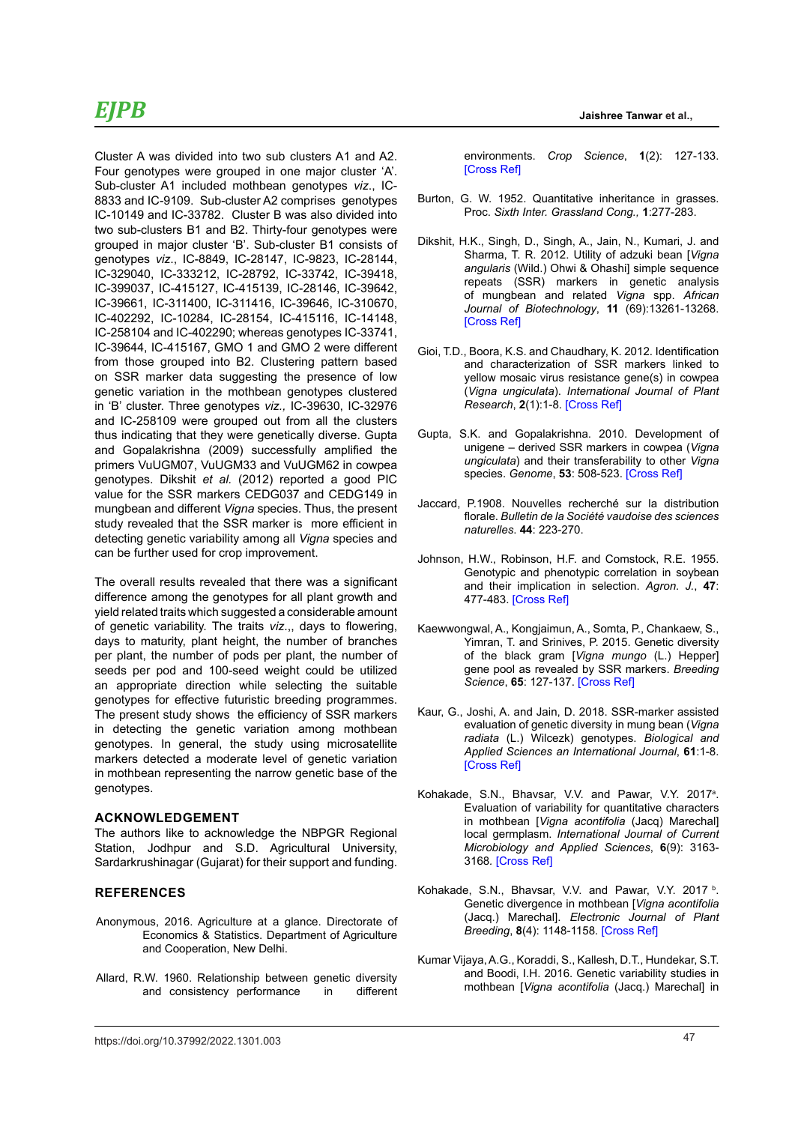### *EJPB*

Cluster A was divided into two sub clusters A1 and A2. Four genotypes were grouped in one major cluster 'A'. Sub-cluster A1 included mothbean genotypes *viz*., IC-8833 and IC-9109. Sub-cluster A2 comprises genotypes IC-10149 and IC-33782. Cluster B was also divided into two sub-clusters B1 and B2. Thirty-four genotypes were grouped in major cluster 'B'. Sub-cluster B1 consists of genotypes *viz*., IC-8849, IC-28147, IC-9823, IC-28144, IC-329040, IC-333212, IC-28792, IC-33742, IC-39418, IC-399037, IC-415127, IC-415139, IC-28146, IC-39642, IC-39661, IC-311400, IC-311416, IC-39646, IC-310670, IC-402292, IC-10284, IC-28154, IC-415116, IC-14148, IC-258104 and IC-402290; whereas genotypes IC-33741, IC-39644, IC-415167, GMO 1 and GMO 2 were different from those grouped into B2. Clustering pattern based on SSR marker data suggesting the presence of low genetic variation in the mothbean genotypes clustered in 'B' cluster. Three genotypes *viz.,* IC-39630, IC-32976 and IC-258109 were grouped out from all the clusters thus indicating that they were genetically diverse. Gupta and Gopalakrishna (2009) successfully amplified the primers VuUGM07, VuUGM33 and VuUGM62 in cowpea genotypes. Dikshit *et al.* (2012) reported a good PIC value for the SSR markers CEDG037 and CEDG149 in mungbean and different *Vigna* species. Thus, the present study revealed that the SSR marker is more efficient in detecting genetic variability among all *Vigna* species and can be further used for crop improvement.

The overall results revealed that there was a significant difference among the genotypes for all plant growth and yield related traits which suggested a considerable amount of genetic variability. The traits *viz*.,, days to flowering, days to maturity, plant height, the number of branches per plant, the number of pods per plant, the number of seeds per pod and 100-seed weight could be utilized an appropriate direction while selecting the suitable genotypes for effective futuristic breeding programmes. The present study shows the efficiency of SSR markers in detecting the genetic variation among mothbean genotypes. In general, the study using microsatellite markers detected a moderate level of genetic variation in mothbean representing the narrow genetic base of the genotypes.

#### **ACKNOWLEDGEMENT**

The authors like to acknowledge the NBPGR Regional Station, Jodhpur and S.D. Agricultural University, Sardarkrushinagar (Gujarat) for their support and funding.

#### **REFERENCES**

- Anonymous, 2016. Agriculture at a glance. Directorate of Economics & Statistics. Department of Agriculture and Cooperation, New Delhi.
- Allard, R.W. 1960. Relationship between genetic diversity and consistency performance in different

environments. *Crop Science*, **1**(2): 127-133. [\[Cross Ref\]](https://doi.org/10.2135/cropsci1961.0011183X000100020012x)

- Burton, G. W. 1952. Quantitative inheritance in grasses. Proc. *Sixth Inter. Grassland Cong.,* **1**:277-283.
- Dikshit, H.K., Singh, D., Singh, A., Jain, N., Kumari, J. and Sharma, T. R. 2012. Utility of adzuki bean [*Vigna angularis* (Wild.) Ohwi & Ohashi] simple sequence repeats (SSR) markers in genetic analysis of mungbean and related *Vigna* spp. *African Journal of Biotechnology*, **11** (69):13261-13268. [\[Cross Ref\]](https://doi.org/10.5897/AJB12.1720)
- Gioi, T.D., Boora, K.S. and Chaudhary, K. 2012. Identification and characterization of SSR markers linked to yellow mosaic virus resistance gene(s) in cowpea (*Vigna ungiculata*). *International Journal of Plant Research*, **2**(1):1-8. [\[Cross Ref\]](https://doi.org/10.5923/j.plant.20120201.01)
- Gupta, S.K. and Gopalakrishna. 2010. Development of unigene – derived SSR markers in cowpea (*Vigna ungiculata*) and their transferability to other *Vigna*  species. *Genome*, **53**: 508-523. [\[Cross Ref\]](https://doi.org/10.1139/G10-028)
- Jaccard, P.1908. Nouvelles recherché sur la distribution florale. *Bulletin de la Société vaudoise des sciences naturelles*. **44**: 223-270.
- Johnson, H.W., Robinson, H.F. and Comstock, R.E. 1955. Genotypic and phenotypic correlation in soybean and their implication in selection. *Agron. J.*, **47**: 477-483. [\[Cross Ref\]](%20https://doi.org/10.2134/agronj1955.00021962004700100008x)
- Kaewwongwal, A., Kongjaimun, A., Somta, P., Chankaew, S., Yimran, T. and Srinives, P. 2015. Genetic diversity of the black gram [*Vigna mungo* (L.) Hepper] gene pool as revealed by SSR markers. *Breeding Science*, **65**: 127-137. [\[Cross Ref\]](https://doi.org/10.1270/jsbbs.65.127)
- Kaur, G., Joshi, A. and Jain, D. 2018. SSR-marker assisted evaluation of genetic diversity in mung bean (*Vigna radiata* (L.) Wilcezk) genotypes. *Biological and Applied Sciences an International Journal*, **61**:1-8. [\[Cross Ref\]](https://doi.org/10.1590/1678-4324-2016160613)
- Kohakade, S.N., Bhavsar, V.V. and Pawar, V.Y. 2017<sup>a</sup>. Evaluation of variability for quantitative characters in mothbean [*Vigna acontifolia* (Jacq) Marechal] local germplasm. *International Journal of Current Microbiology and Applied Sciences*, **6**(9): 3163- 3168*.* [\[Cross Ref\]](https://doi.org/10.20546/ijcmas.2017.609.390)
- Kohakade, S.N., Bhavsar, V.V. and Pawar, V.Y. 2017 b. Genetic divergence in mothbean [*Vigna acontifolia*  (Jacq.) Marechal]. *Electronic Journal of Plant Breeding*, **8**(4): 1148-1158*.* [\[Cross Ref\]](https://doi.org/10.5958/0975-928X.2017.00167.3)
- Kumar Vijaya, A.G., Koraddi, S., Kallesh, D.T., Hundekar, S.T. and Boodi, I.H. 2016. Genetic variability studies in mothbean [*Vigna acontifolia* (Jacq.) Marechal] in